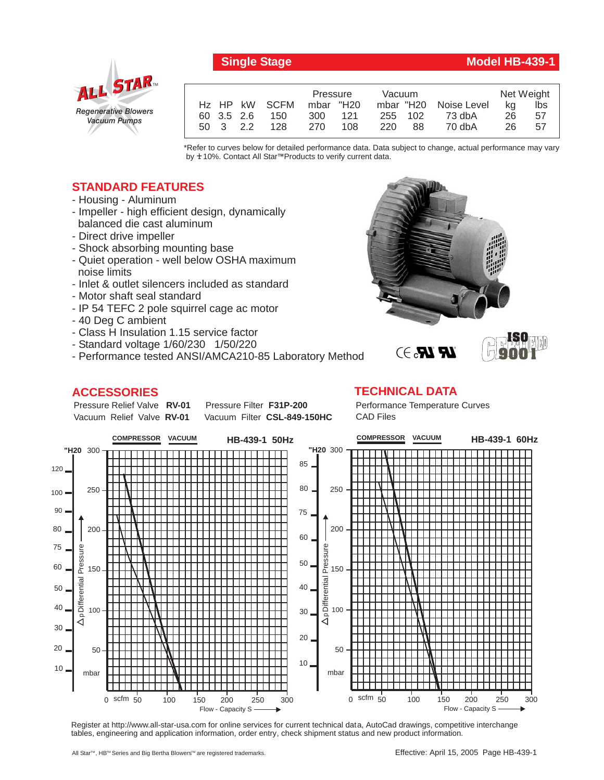**Single Stage Model HB-439-1**



|            |                           | Pressure  |     | Vacuum  |    |                       | Net Weight |     |
|------------|---------------------------|-----------|-----|---------|----|-----------------------|------------|-----|
|            | H <sub>z</sub> HP kW SCFM | mbar "H20 |     |         |    | mbar "H20 Noise Level | ka         | lbs |
| 60 3.5 2.6 | 150                       | 300       | 121 | 255 102 |    | 73 dbA                | 26         | 57  |
| 50 3 2.2   | 128                       | 270       | 108 | 220     | 88 | 70 dbA                | 26.        | 57  |

\*Refer to curves below for detailed performance data. Data subject to change, actual performance may vary by **+** 10%. Contact All Star™Products to verify current data.

## **STANDARD FEATURES**

- Housing Aluminum
- Impeller high efficient design, dynamically balanced die cast aluminum
- Direct drive impeller
- Shock absorbing mounting base
- Quiet operation well below OSHA maximum noise limits
- Inlet & outlet silencers included as standard
- Motor shaft seal standard
- IP 54 TEFC 2 pole squirrel cage ac motor
- 40 Deg C ambient
- Class H Insulation 1.15 service factor
- Standard voltage 1/60/230 1/50/220
- Performance tested ANSI/AMCA210-85 Laboratory Method

## **ACCESSORIES**





## **TECHNICAL DATA**

Performance Temperature Curves CAD Files



Register at http://www.all-star-usa.com for online services for current technical data, AutoCad drawings, competitive interchange tables, engineering and application information, order entry, check shipment status and new product information.